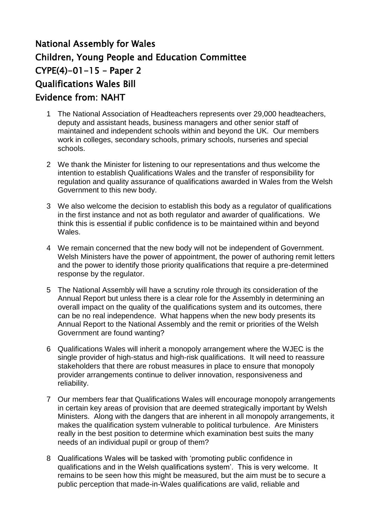## National Assembly for Wales Children, Young People and Education Committee  $CYPE(4)-01-15$  – Paper 2 Qualifications Wales Bill Evidence from: NAHT

- 1 The National Association of Headteachers represents over 29,000 headteachers, deputy and assistant heads, business managers and other senior staff of maintained and independent schools within and beyond the UK. Our members work in colleges, secondary schools, primary schools, nurseries and special schools.
- 2 We thank the Minister for listening to our representations and thus welcome the intention to establish Qualifications Wales and the transfer of responsibility for regulation and quality assurance of qualifications awarded in Wales from the Welsh Government to this new body.
- 3 We also welcome the decision to establish this body as a regulator of qualifications in the first instance and not as both regulator and awarder of qualifications. We think this is essential if public confidence is to be maintained within and beyond Wales.
- 4 We remain concerned that the new body will not be independent of Government. Welsh Ministers have the power of appointment, the power of authoring remit letters and the power to identify those priority qualifications that require a pre-determined response by the regulator.
- 5 The National Assembly will have a scrutiny role through its consideration of the Annual Report but unless there is a clear role for the Assembly in determining an overall impact on the quality of the qualifications system and its outcomes, there can be no real independence. What happens when the new body presents its Annual Report to the National Assembly and the remit or priorities of the Welsh Government are found wanting?
- 6 Qualifications Wales will inherit a monopoly arrangement where the WJEC is the single provider of high-status and high-risk qualifications. It will need to reassure stakeholders that there are robust measures in place to ensure that monopoly provider arrangements continue to deliver innovation, responsiveness and reliability.
- 7 Our members fear that Qualifications Wales will encourage monopoly arrangements in certain key areas of provision that are deemed strategically important by Welsh Ministers. Along with the dangers that are inherent in all monopoly arrangements, it makes the qualification system vulnerable to political turbulence. Are Ministers really in the best position to determine which examination best suits the many needs of an individual pupil or group of them?
- 8 Qualifications Wales will be tasked with 'promoting public confidence in qualifications and in the Welsh qualifications system'. This is very welcome. It remains to be seen how this might be measured, but the aim must be to secure a public perception that made-in-Wales qualifications are valid, reliable and